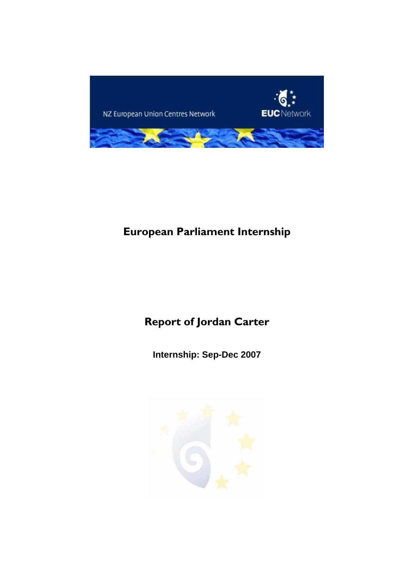

# **European Parliament Internship**

# **Report of Jordan Carter**

**Internship: Sep-Dec 2007** 

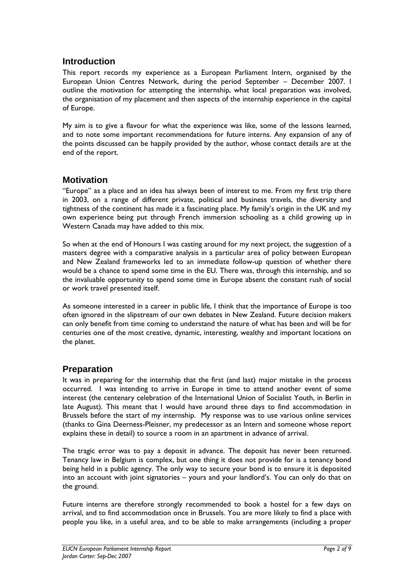# **Introduction**

This report records my experience as a European Parliament Intern, organised by the European Union Centres Network, during the period September – December 2007. I outline the motivation for attempting the internship, what local preparation was involved, the organisation of my placement and then aspects of the internship experience in the capital of Europe.

My aim is to give a flavour for what the experience was like, some of the lessons learned, and to note some important recommendations for future interns. Any expansion of any of the points discussed can be happily provided by the author, whose contact details are at the end of the report.

# **Motivation**

"Europe" as a place and an idea has always been of interest to me. From my first trip there in 2003, on a range of different private, political and business travels, the diversity and tightness of the continent has made it a fascinating place. My family's origin in the UK and my own experience being put through French immersion schooling as a child growing up in Western Canada may have added to this mix.

So when at the end of Honours I was casting around for my next project, the suggestion of a masters degree with a comparative analysis in a particular area of policy between European and New Zealand frameworks led to an immediate follow-up question of whether there would be a chance to spend some time in the EU. There was, through this internship, and so the invaluable opportunity to spend some time in Europe absent the constant rush of social or work travel presented itself.

As someone interested in a career in public life, I think that the importance of Europe is too often ignored in the slipstream of our own debates in New Zealand. Future decision makers can only benefit from time coming to understand the nature of what has been and will be for centuries one of the most creative, dynamic, interesting, wealthy and important locations on the planet.

# **Preparation**

It was in preparing for the internship that the first (and last) major mistake in the process occurred. I was intending to arrive in Europe in time to attend another event of some interest (the centenary celebration of the International Union of Socialist Youth, in Berlin in late August). This meant that I would have around three days to find accommodation in Brussels before the start of my internship. My response was to use various online services (thanks to Gina Deerness-Pleisner, my predecessor as an Intern and someone whose report explains these in detail) to source a room in an apartment in advance of arrival.

The tragic error was to pay a deposit in advance. The deposit has never been returned. Tenancy law in Belgium is complex, but one thing it does not provide for is a tenancy bond being held in a public agency. The only way to secure your bond is to ensure it is deposited into an account with joint signatories – yours and your landlord's. You can only do that on the ground.

Future interns are therefore strongly recommended to book a hostel for a few days on arrival, and to find accommodation once in Brussels. You are more likely to find a place with people you like, in a useful area, and to be able to make arrangements (including a proper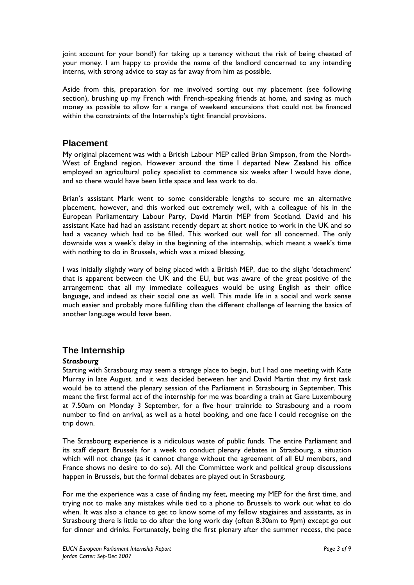joint account for your bond!) for taking up a tenancy without the risk of being cheated of your money. I am happy to provide the name of the landlord concerned to any intending interns, with strong advice to stay as far away from him as possible.

Aside from this, preparation for me involved sorting out my placement (see following section), brushing up my French with French-speaking friends at home, and saving as much money as possible to allow for a range of weekend excursions that could not be financed within the constraints of the Internship's tight financial provisions.

# **Placement**

My original placement was with a British Labour MEP called Brian Simpson, from the North-West of England region. However around the time I departed New Zealand his office employed an agricultural policy specialist to commence six weeks after I would have done, and so there would have been little space and less work to do.

Brian's assistant Mark went to some considerable lengths to secure me an alternative placement, however, and this worked out extremely well, with a colleague of his in the European Parliamentary Labour Party, David Martin MEP from Scotland. David and his assistant Kate had had an assistant recently depart at short notice to work in the UK and so had a vacancy which had to be filled. This worked out well for all concerned. The only downside was a week's delay in the beginning of the internship, which meant a week's time with nothing to do in Brussels, which was a mixed blessing.

I was initially slightly wary of being placed with a British MEP, due to the slight 'detachment' that is apparent between the UK and the EU, but was aware of the great positive of the arrangement: that all my immediate colleagues would be using English as their office language, and indeed as their social one as well. This made life in a social and work sense much easier and probably more fulfilling than the different challenge of learning the basics of another language would have been.

# **The Internship**

## *Strasbourg*

Starting with Strasbourg may seem a strange place to begin, but I had one meeting with Kate Murray in late August, and it was decided between her and David Martin that my first task would be to attend the plenary session of the Parliament in Strasbourg in September. This meant the first formal act of the internship for me was boarding a train at Gare Luxembourg at 7.50am on Monday 3 September, for a five hour trainride to Strasbourg and a room number to find on arrival, as well as a hotel booking, and one face I could recognise on the trip down.

The Strasbourg experience is a ridiculous waste of public funds. The entire Parliament and its staff depart Brussels for a week to conduct plenary debates in Strasbourg, a situation which will not change (as it cannot change without the agreement of all EU members, and France shows no desire to do so). All the Committee work and political group discussions happen in Brussels, but the formal debates are played out in Strasbourg.

For me the experience was a case of finding my feet, meeting my MEP for the first time, and trying not to make any mistakes while tied to a phone to Brussels to work out what to do when. It was also a chance to get to know some of my fellow stagiaires and assistants, as in Strasbourg there is little to do after the long work day (often 8.30am to 9pm) except go out for dinner and drinks. Fortunately, being the first plenary after the summer recess, the pace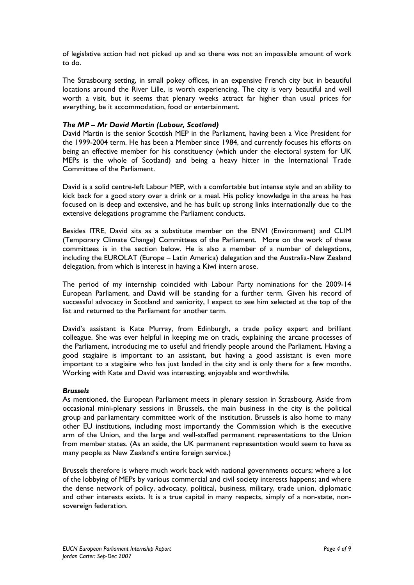of legislative action had not picked up and so there was not an impossible amount of work to do.

The Strasbourg setting, in small pokey offices, in an expensive French city but in beautiful locations around the River Lille, is worth experiencing. The city is very beautiful and well worth a visit, but it seems that plenary weeks attract far higher than usual prices for everything, be it accommodation, food or entertainment.

#### *The MP – Mr David Martin (Labour, Scotland)*

David Martin is the senior Scottish MEP in the Parliament, having been a Vice President for the 1999-2004 term. He has been a Member since 1984, and currently focuses his efforts on being an effective member for his constituency (which under the electoral system for UK MEPs is the whole of Scotland) and being a heavy hitter in the International Trade Committee of the Parliament.

David is a solid centre-left Labour MEP, with a comfortable but intense style and an ability to kick back for a good story over a drink or a meal. His policy knowledge in the areas he has focused on is deep and extensive, and he has built up strong links internationally due to the extensive delegations programme the Parliament conducts.

Besides ITRE, David sits as a substitute member on the ENVI (Environment) and CLIM (Temporary Climate Change) Committees of the Parliament. More on the work of these committees is in the section below. He is also a member of a number of delegations, including the EUROLAT (Europe – Latin America) delegation and the Australia-New Zealand delegation, from which is interest in having a Kiwi intern arose.

The period of my internship coincided with Labour Party nominations for the 2009-14 European Parliament, and David will be standing for a further term. Given his record of successful advocacy in Scotland and seniority, I expect to see him selected at the top of the list and returned to the Parliament for another term.

David's assistant is Kate Murray, from Edinburgh, a trade policy expert and brilliant colleague. She was ever helpful in keeping me on track, explaining the arcane processes of the Parliament, introducing me to useful and friendly people around the Parliament. Having a good stagiaire is important to an assistant, but having a good assistant is even more important to a stagiaire who has just landed in the city and is only there for a few months. Working with Kate and David was interesting, enjoyable and worthwhile.

#### *Brussels*

As mentioned, the European Parliament meets in plenary session in Strasbourg. Aside from occasional mini-plenary sessions in Brussels, the main business in the city is the political group and parliamentary committee work of the institution. Brussels is also home to many other EU institutions, including most importantly the Commission which is the executive arm of the Union, and the large and well-staffed permanent representations to the Union from member states. (As an aside, the UK permanent representation would seem to have as many people as New Zealand's entire foreign service.)

Brussels therefore is where much work back with national governments occurs; where a lot of the lobbying of MEPs by various commercial and civil society interests happens; and where the dense network of policy, advocacy, political, business, military, trade union, diplomatic and other interests exists. It is a true capital in many respects, simply of a non-state, nonsovereign federation.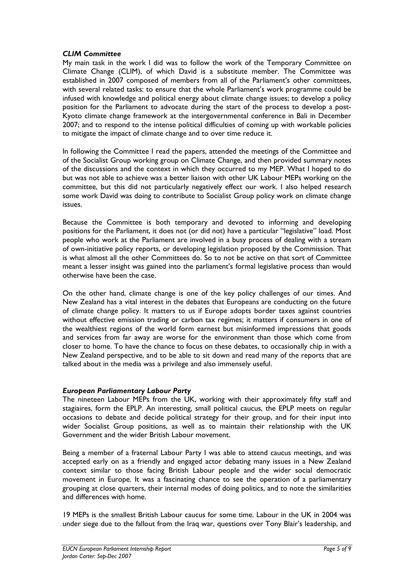#### *CLIM Committee*

My main task in the work I did was to follow the work of the Temporary Committee on Climate Change (CLIM), of which David is a substitute member. The Committee was established in 2007 composed of members from all of the Parliament's other committees, with several related tasks: to ensure that the whole Parliament's work programme could be infused with knowledge and political energy about climate change issues; to develop a policy position for the Parliament to advocate during the start of the process to develop a post-Kyoto climate change framework at the intergovernmental conference in Bali in December 2007; and to respond to the intense political difficulties of coming up with workable policies to mitigate the impact of climate change and to over time reduce it.

In following the Committee I read the papers, attended the meetings of the Committee and of the Socialist Group working group on Climate Change, and then provided summary notes of the discussions and the context in which they occurred to my MEP. What I hoped to do but was not able to achieve was a better liaison with other UK Labour MEPs working on the committee, but this did not particularly negatively effect our work. I also helped research some work David was doing to contribute to Socialist Group policy work on climate change issues.

Because the Committee is both temporary and devoted to informing and developing positions for the Parliament, it does not (or did not) have a particular "legislative" load. Most people who work at the Parliament are involved in a busy process of dealing with a stream of own-initiative policy reports, or developing legislation proposed by the Commission. That is what almost all the other Committees do. So to not be active on that sort of Committee meant a lesser insight was gained into the parliament's formal legislative process than would otherwise have been the case.

On the other hand, climate change is one of the key policy challenges of our times. And New Zealand has a vital interest in the debates that Europeans are conducting on the future of climate change policy. It matters to us if Europe adopts border taxes against countries without effective emission trading or carbon tax regimes; it matters if consumers in one of the wealthiest regions of the world form earnest but misinformed impressions that goods and services from far away are worse for the environment than those which come from closer to home. To have the chance to focus on these debates, to occasionally chip in with a New Zealand perspective, and to be able to sit down and read many of the reports that are talked about in the media was a privilege and also immensely useful.

#### *European Parliamentary Labour Party*

The nineteen Labour MEPs from the UK, working with their approximately fifty staff and stagiaires, form the EPLP. An interesting, small political caucus, the EPLP meets on regular occasions to debate and decide political strategy for their group, and for their input into wider Socialist Group positions, as well as to maintain their relationship with the UK Government and the wider British Labour movement.

Being a member of a fraternal Labour Party I was able to attend caucus meetings, and was accepted early on as a friendly and engaged actor debating many issues in a New Zealand context similar to those facing British Labour people and the wider social democratic movement in Europe. It was a fascinating chance to see the operation of a parliamentary grouping at close quarters, their internal modes of doing politics, and to note the similarities and differences with home.

19 MEPs is the smallest British Labour caucus for some time. Labour in the UK in 2004 was under siege due to the fallout from the Iraq war, questions over Tony Blair's leadership, and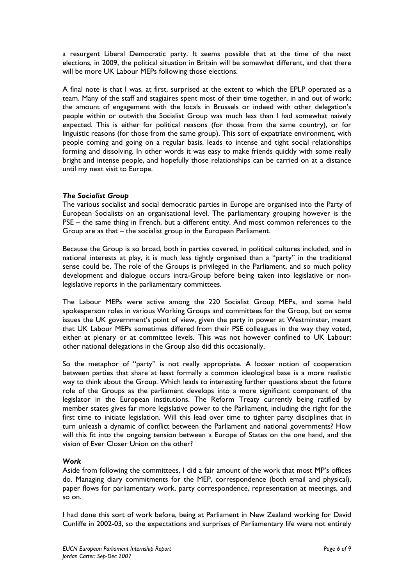a resurgent Liberal Democratic party. It seems possible that at the time of the next elections, in 2009, the political situation in Britain will be somewhat different, and that there will be more UK Labour MEPs following those elections.

A final note is that I was, at first, surprised at the extent to which the EPLP operated as a team. Many of the staff and stagiaires spent most of their time together, in and out of work; the amount of engagement with the locals in Brussels or indeed with other delegation's people within or outwith the Socialist Group was much less than I had somewhat naively expected. This is either for political reasons (for those from the same country), or for linguistic reasons (for those from the same group). This sort of expatriate environment, with people coming and going on a regular basis, leads to intense and tight social relationships forming and dissolving. In other words it was easy to make friends quickly with some really bright and intense people, and hopefully those relationships can be carried on at a distance until my next visit to Europe.

#### *The Socialist Group*

The various socialist and social democratic parties in Europe are organised into the Party of European Socialists on an organisational level. The parliamentary grouping however is the PSE – the same thing in French, but a different entity. And most common references to the Group are as that – the socialist group in the European Parliament.

Because the Group is so broad, both in parties covered, in political cultures included, and in national interests at play, it is much less tightly organised than a "party" in the traditional sense could be. The role of the Groups is privileged in the Parliament, and so much policy development and dialogue occurs intra-Group before being taken into legislative or nonlegislative reports in the parliamentary committees.

The Labour MEPs were active among the 220 Socialist Group MEPs, and some held spokesperson roles in various Working Groups and committees for the Group, but on some issues the UK government's point of view, given the party in power at Westminster, meant that UK Labour MEPs sometimes differed from their PSE colleagues in the way they voted, either at plenary or at committee levels. This was not however confined to UK Labour: other national delegations in the Group also did this occasionally.

So the metaphor of "party" is not really appropriate. A looser notion of cooperation between parties that share at least formally a common ideological base is a more realistic way to think about the Group. Which leads to interesting further questions about the future role of the Groups as the parliament develops into a more significant component of the legislator in the European institutions. The Reform Treaty currently being ratified by member states gives far more legislative power to the Parliament, including the right for the first time to initiate legislation. Will this lead over time to tighter party disciplines that in turn unleash a dynamic of conflict between the Parliament and national governments? How will this fit into the ongoing tension between a Europe of States on the one hand, and the vision of Ever Closer Union on the other?

## *Work*

Aside from following the committees, I did a fair amount of the work that most MP's offices do. Managing diary commitments for the MEP, correspondence (both email and physical), paper flows for parliamentary work, party correspondence, representation at meetings, and so on.

I had done this sort of work before, being at Parliament in New Zealand working for David Cunliffe in 2002-03, so the expectations and surprises of Parliamentary life were not entirely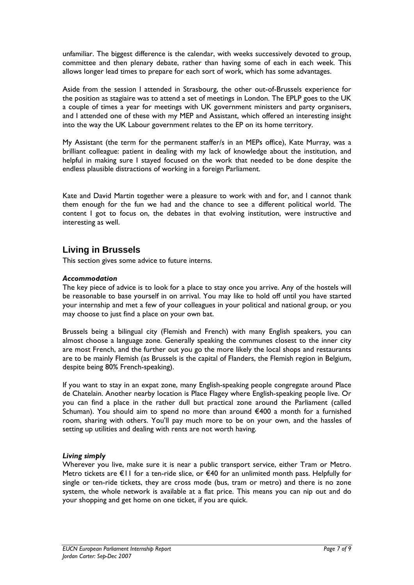unfamiliar. The biggest difference is the calendar, with weeks successively devoted to group, committee and then plenary debate, rather than having some of each in each week. This allows longer lead times to prepare for each sort of work, which has some advantages.

Aside from the session I attended in Strasbourg, the other out-of-Brussels experience for the position as stagiaire was to attend a set of meetings in London. The EPLP goes to the UK a couple of times a year for meetings with UK government ministers and party organisers, and I attended one of these with my MEP and Assistant, which offered an interesting insight into the way the UK Labour government relates to the EP on its home territory.

My Assistant (the term for the permanent staffer/s in an MEPs office), Kate Murray, was a brilliant colleague: patient in dealing with my lack of knowledge about the institution, and helpful in making sure I stayed focused on the work that needed to be done despite the endless plausible distractions of working in a foreign Parliament.

Kate and David Martin together were a pleasure to work with and for, and I cannot thank them enough for the fun we had and the chance to see a different political world. The content I got to focus on, the debates in that evolving institution, were instructive and interesting as well.

# **Living in Brussels**

This section gives some advice to future interns.

#### *Accommodation*

The key piece of advice is to look for a place to stay once you arrive. Any of the hostels will be reasonable to base yourself in on arrival. You may like to hold off until you have started your internship and met a few of your colleagues in your political and national group, or you may choose to just find a place on your own bat.

Brussels being a bilingual city (Flemish and French) with many English speakers, you can almost choose a language zone. Generally speaking the communes closest to the inner city are most French, and the further out you go the more likely the local shops and restaurants are to be mainly Flemish (as Brussels is the capital of Flanders, the Flemish region in Belgium, despite being 80% French-speaking).

If you want to stay in an expat zone, many English-speaking people congregate around Place de Chatelain. Another nearby location is Place Flagey where English-speaking people live. Or you can find a place in the rather dull but practical zone around the Parliament (called Schuman). You should aim to spend no more than around €400 a month for a furnished room, sharing with others. You'll pay much more to be on your own, and the hassles of setting up utilities and dealing with rents are not worth having.

#### *Living simply*

Wherever you live, make sure it is near a public transport service, either Tram or Metro. Metro tickets are €11 for a ten-ride slice, or €40 for an unlimited month pass. Helpfully for single or ten-ride tickets, they are cross mode (bus, tram or metro) and there is no zone system, the whole network is available at a flat price. This means you can nip out and do your shopping and get home on one ticket, if you are quick.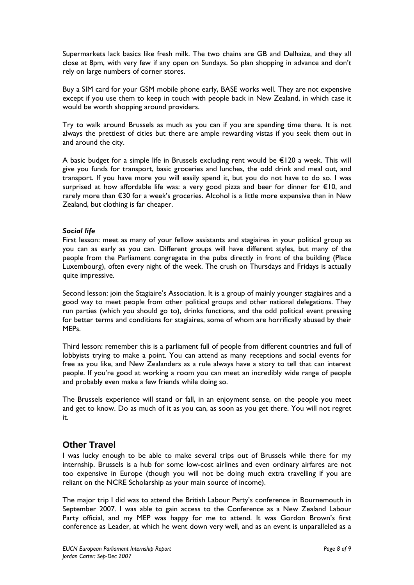Supermarkets lack basics like fresh milk. The two chains are GB and Delhaize, and they all close at 8pm, with very few if any open on Sundays. So plan shopping in advance and don't rely on large numbers of corner stores.

Buy a SIM card for your GSM mobile phone early, BASE works well. They are not expensive except if you use them to keep in touch with people back in New Zealand, in which case it would be worth shopping around providers.

Try to walk around Brussels as much as you can if you are spending time there. It is not always the prettiest of cities but there are ample rewarding vistas if you seek them out in and around the city.

A basic budget for a simple life in Brussels excluding rent would be €120 a week. This will give you funds for transport, basic groceries and lunches, the odd drink and meal out, and transport. If you have more you will easily spend it, but you do not have to do so. I was surprised at how affordable life was: a very good pizza and beer for dinner for €10, and rarely more than €30 for a week's groceries. Alcohol is a little more expensive than in New Zealand, but clothing is far cheaper.

#### *Social life*

First lesson: meet as many of your fellow assistants and stagiaires in your political group as you can as early as you can. Different groups will have different styles, but many of the people from the Parliament congregate in the pubs directly in front of the building (Place Luxembourg), often every night of the week. The crush on Thursdays and Fridays is actually quite impressive.

Second lesson: join the Stagiaire's Association. It is a group of mainly younger stagiaires and a good way to meet people from other political groups and other national delegations. They run parties (which you should go to), drinks functions, and the odd political event pressing for better terms and conditions for stagiaires, some of whom are horrifically abused by their MEPs.

Third lesson: remember this is a parliament full of people from different countries and full of lobbyists trying to make a point. You can attend as many receptions and social events for free as you like, and New Zealanders as a rule always have a story to tell that can interest people. If you're good at working a room you can meet an incredibly wide range of people and probably even make a few friends while doing so.

The Brussels experience will stand or fall, in an enjoyment sense, on the people you meet and get to know. Do as much of it as you can, as soon as you get there. You will not regret it.

## **Other Travel**

I was lucky enough to be able to make several trips out of Brussels while there for my internship. Brussels is a hub for some low-cost airlines and even ordinary airfares are not too expensive in Europe (though you will not be doing much extra travelling if you are reliant on the NCRE Scholarship as your main source of income).

The major trip I did was to attend the British Labour Party's conference in Bournemouth in September 2007. I was able to gain access to the Conference as a New Zealand Labour Party official, and my MEP was happy for me to attend. It was Gordon Brown's first conference as Leader, at which he went down very well, and as an event is unparalleled as a